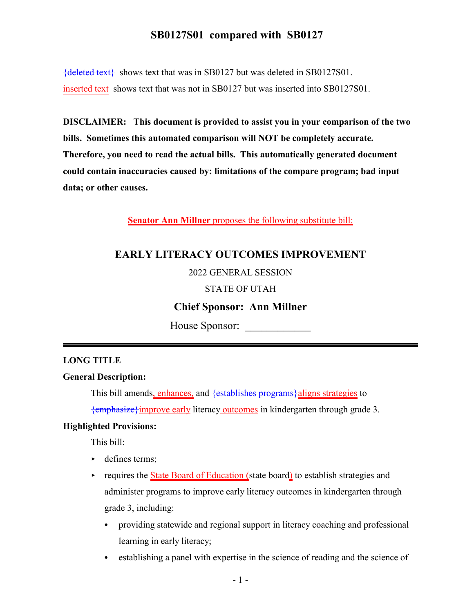{deleted text} shows text that was in SB0127 but was deleted in SB0127S01. inserted text shows text that was not in SB0127 but was inserted into SB0127S01.

**DISCLAIMER: This document is provided to assist you in your comparison of the two bills. Sometimes this automated comparison will NOT be completely accurate. Therefore, you need to read the actual bills. This automatically generated document could contain inaccuracies caused by: limitations of the compare program; bad input data; or other causes.**

**Senator Ann Millner** proposes the following substitute bill:

## **EARLY LITERACY OUTCOMES IMPROVEMENT**

2022 GENERAL SESSION

#### STATE OF UTAH

### **Chief Sponsor: Ann Millner**

House Sponsor:

#### **LONG TITLE**

#### **General Description:**

This bill amends, enhances, and <del>{establishes programs}</del>aligns strategies to

{emphasize}improve early literacy outcomes in kindergarten through grade 3.

#### **Highlighted Provisions:**

This bill:

- defines terms;
- $\rightarrow$  requires the State Board of Education (state board) to establish strategies and administer programs to improve early literacy outcomes in kindergarten through grade 3, including:
	- providing statewide and regional support in literacy coaching and professional learning in early literacy;
	- establishing a panel with expertise in the science of reading and the science of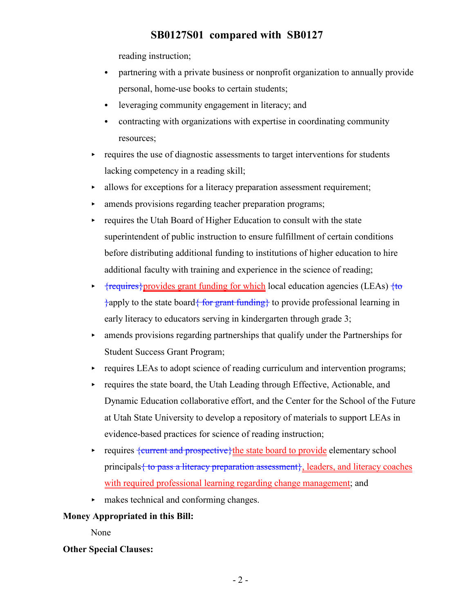reading instruction;

- partnering with a private business or nonprofit organization to annually provide personal, home-use books to certain students;
- leveraging community engagement in literacy; and
- contracting with organizations with expertise in coordinating community resources;
- $\rightarrow$  requires the use of diagnostic assessments to target interventions for students lacking competency in a reading skill;
- $\rightarrow$  allows for exceptions for a literacy preparation assessment requirement;
- < amends provisions regarding teacher preparation programs;
- requires the Utah Board of Higher Education to consult with the state superintendent of public instruction to ensure fulfillment of certain conditions before distributing additional funding to institutions of higher education to hire additional faculty with training and experience in the science of reading;
- $\rightarrow$  {requires} provides grant funding for which local education agencies (LEAs) {to }apply to the state board{ for grant funding} to provide professional learning in early literacy to educators serving in kindergarten through grade 3;
- $\rightarrow$  amends provisions regarding partnerships that qualify under the Partnerships for Student Success Grant Program;
- requires LEAs to adopt science of reading curriculum and intervention programs;
- $\rightarrow$  requires the state board, the Utah Leading through Effective, Actionable, and Dynamic Education collaborative effort, and the Center for the School of the Future at Utah State University to develop a repository of materials to support LEAs in evidence-based practices for science of reading instruction;
- requires  $\{current and prospective\}$  the state board to provide elementary school principals  $\{$  to pass a literacy preparation assessment $\}$ , leaders, and literacy coaches with required professional learning regarding change management; and
- < makes technical and conforming changes.

### **Money Appropriated in this Bill:**

None

### **Other Special Clauses:**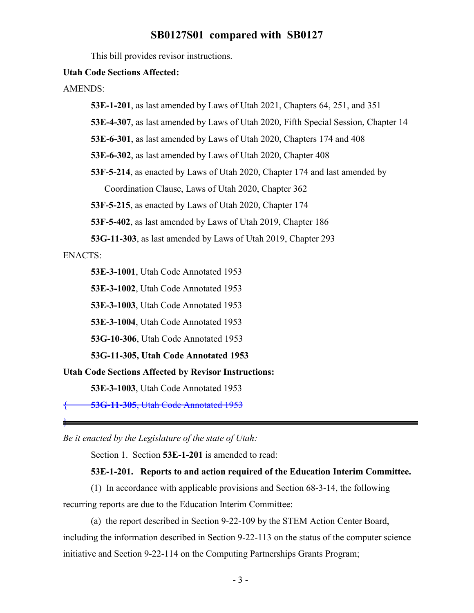This bill provides revisor instructions.

#### **Utah Code Sections Affected:**

AMENDS:

**53E-1-201**, as last amended by Laws of Utah 2021, Chapters 64, 251, and 351

**53E-4-307**, as last amended by Laws of Utah 2020, Fifth Special Session, Chapter 14

**53E-6-301**, as last amended by Laws of Utah 2020, Chapters 174 and 408

**53E-6-302**, as last amended by Laws of Utah 2020, Chapter 408

**53F-5-214**, as enacted by Laws of Utah 2020, Chapter 174 and last amended by Coordination Clause, Laws of Utah 2020, Chapter 362

**53F-5-215**, as enacted by Laws of Utah 2020, Chapter 174

**53F-5-402**, as last amended by Laws of Utah 2019, Chapter 186

**53G-11-303**, as last amended by Laws of Utah 2019, Chapter 293

### ENACTS:

}

**53E-3-1001**, Utah Code Annotated 1953

**53E-3-1002**, Utah Code Annotated 1953

**53E-3-1003**, Utah Code Annotated 1953

**53E-3-1004**, Utah Code Annotated 1953

**53G-10-306**, Utah Code Annotated 1953

**53G-11-305, Utah Code Annotated 1953**

**Utah Code Sections Affected by Revisor Instructions:**

**53E-3-1003**, Utah Code Annotated 1953

{ **53G-11-305**, Utah Code Annotated 1953

*Be it enacted by the Legislature of the state of Utah:*

Section 1. Section **53E-1-201** is amended to read:

#### **53E-1-201. Reports to and action required of the Education Interim Committee.**

(1) In accordance with applicable provisions and Section 68-3-14, the following recurring reports are due to the Education Interim Committee:

(a) the report described in Section 9-22-109 by the STEM Action Center Board, including the information described in Section 9-22-113 on the status of the computer science initiative and Section 9-22-114 on the Computing Partnerships Grants Program;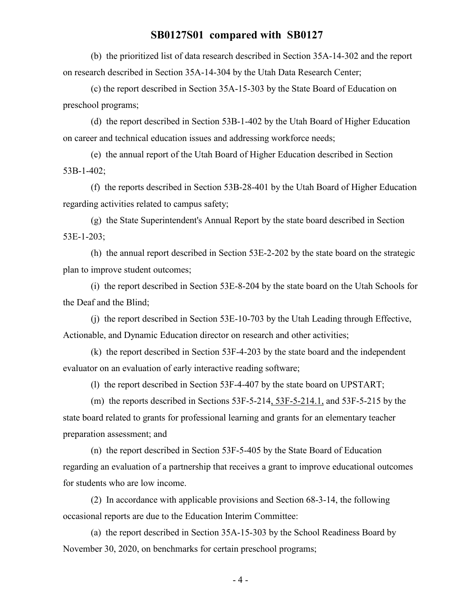(b) the prioritized list of data research described in Section 35A-14-302 and the report on research described in Section 35A-14-304 by the Utah Data Research Center;

(c) the report described in Section 35A-15-303 by the State Board of Education on preschool programs;

(d) the report described in Section 53B-1-402 by the Utah Board of Higher Education on career and technical education issues and addressing workforce needs;

(e) the annual report of the Utah Board of Higher Education described in Section 53B-1-402;

(f) the reports described in Section 53B-28-401 by the Utah Board of Higher Education regarding activities related to campus safety;

(g) the State Superintendent's Annual Report by the state board described in Section 53E-1-203;

(h) the annual report described in Section 53E-2-202 by the state board on the strategic plan to improve student outcomes;

(i) the report described in Section 53E-8-204 by the state board on the Utah Schools for the Deaf and the Blind;

(j) the report described in Section 53E-10-703 by the Utah Leading through Effective, Actionable, and Dynamic Education director on research and other activities;

(k) the report described in Section 53F-4-203 by the state board and the independent evaluator on an evaluation of early interactive reading software;

(l) the report described in Section 53F-4-407 by the state board on UPSTART;

(m) the reports described in Sections  $53F-5-214$ ,  $53F-5-214$ .1, and  $53F-5-215$  by the state board related to grants for professional learning and grants for an elementary teacher preparation assessment; and

(n) the report described in Section 53F-5-405 by the State Board of Education regarding an evaluation of a partnership that receives a grant to improve educational outcomes for students who are low income.

(2) In accordance with applicable provisions and Section 68-3-14, the following occasional reports are due to the Education Interim Committee:

(a) the report described in Section 35A-15-303 by the School Readiness Board by November 30, 2020, on benchmarks for certain preschool programs;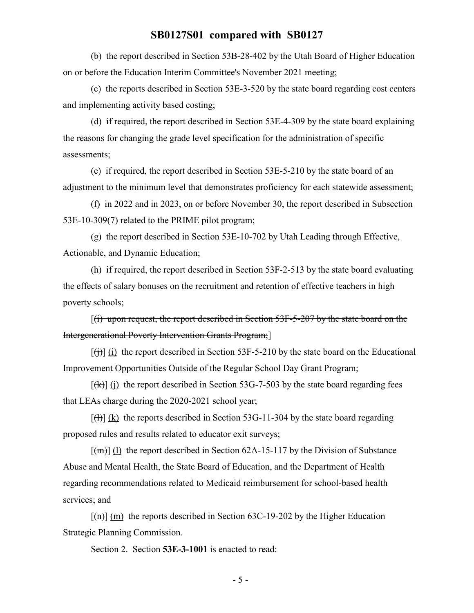(b) the report described in Section 53B-28-402 by the Utah Board of Higher Education on or before the Education Interim Committee's November 2021 meeting;

(c) the reports described in Section 53E-3-520 by the state board regarding cost centers and implementing activity based costing;

(d) if required, the report described in Section 53E-4-309 by the state board explaining the reasons for changing the grade level specification for the administration of specific assessments;

(e) if required, the report described in Section 53E-5-210 by the state board of an adjustment to the minimum level that demonstrates proficiency for each statewide assessment;

(f) in 2022 and in 2023, on or before November 30, the report described in Subsection 53E-10-309(7) related to the PRIME pilot program;

(g) the report described in Section 53E-10-702 by Utah Leading through Effective, Actionable, and Dynamic Education;

(h) if required, the report described in Section 53F-2-513 by the state board evaluating the effects of salary bonuses on the recruitment and retention of effective teachers in high poverty schools;

 $[(i)$  upon request, the report described in Section 53F-5-207 by the state board on the Intergenerational Poverty Intervention Grants Program;]

 $[(\dagger)\]$  (i) the report described in Section 53F-5-210 by the state board on the Educational Improvement Opportunities Outside of the Regular School Day Grant Program;

 $[\frac{f(k)}{k}]$  (i) the report described in Section 53G-7-503 by the state board regarding fees that LEAs charge during the 2020-2021 school year;

 $[\text{H}]\$ (k) the reports described in Section 53G-11-304 by the state board regarding proposed rules and results related to educator exit surveys;

 $[\text{m}]\text{ (l)}$  the report described in Section 62A-15-117 by the Division of Substance Abuse and Mental Health, the State Board of Education, and the Department of Health regarding recommendations related to Medicaid reimbursement for school-based health services; and

 $[(m)]$  (m) the reports described in Section 63C-19-202 by the Higher Education Strategic Planning Commission.

Section 2. Section **53E-3-1001** is enacted to read: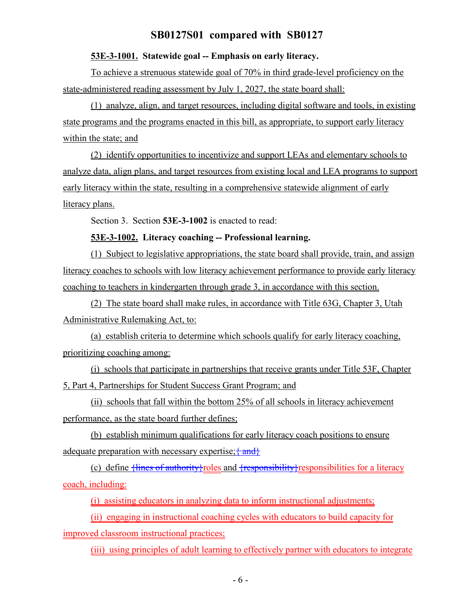#### **53E-3-1001. Statewide goal -- Emphasis on early literacy.**

To achieve a strenuous statewide goal of 70% in third grade-level proficiency on the state-administered reading assessment by July 1, 2027, the state board shall:

(1) analyze, align, and target resources, including digital software and tools, in existing state programs and the programs enacted in this bill, as appropriate, to support early literacy within the state; and

(2) identify opportunities to incentivize and support LEAs and elementary schools to analyze data, align plans, and target resources from existing local and LEA programs to support early literacy within the state, resulting in a comprehensive statewide alignment of early literacy plans.

Section 3. Section **53E-3-1002** is enacted to read:

#### **53E-3-1002. Literacy coaching -- Professional learning.**

(1) Subject to legislative appropriations, the state board shall provide, train, and assign literacy coaches to schools with low literacy achievement performance to provide early literacy coaching to teachers in kindergarten through grade 3, in accordance with this section.

(2) The state board shall make rules, in accordance with Title 63G, Chapter 3, Utah Administrative Rulemaking Act, to:

(a) establish criteria to determine which schools qualify for early literacy coaching, prioritizing coaching among:

(i) schools that participate in partnerships that receive grants under Title 53F, Chapter 5, Part 4, Partnerships for Student Success Grant Program; and

(ii) schools that fall within the bottom 25% of all schools in literacy achievement performance, as the state board further defines;

(b) establish minimum qualifications for early literacy coach positions to ensure adequate preparation with necessary expertise;  $\{and\}$ 

(c) define  $\{\text{lines of authority}\}$ roles and  $\{\text{responsibleility}\}$ responsibilities for a literacy coach, including:

(i) assisting educators in analyzing data to inform instructional adjustments;

(ii) engaging in instructional coaching cycles with educators to build capacity for improved classroom instructional practices;

(iii) using principles of adult learning to effectively partner with educators to integrate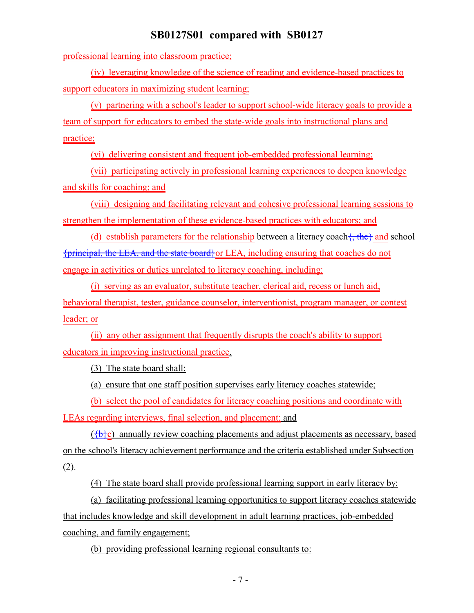professional learning into classroom practice;

(iv) leveraging knowledge of the science of reading and evidence-based practices to support educators in maximizing student learning;

(v) partnering with a school's leader to support school-wide literacy goals to provide a team of support for educators to embed the state-wide goals into instructional plans and practice;

(vi) delivering consistent and frequent job-embedded professional learning;

(vii) participating actively in professional learning experiences to deepen knowledge and skills for coaching; and

(viii) designing and facilitating relevant and cohesive professional learning sessions to strengthen the implementation of these evidence-based practices with educators; and

(d) establish parameters for the relationship between a literacy coach  $\{$ , the and school {principal, the LEA, and the state board}or LEA, including ensuring that coaches do not engage in activities or duties unrelated to literacy coaching, including:

(i) serving as an evaluator, substitute teacher, clerical aid, recess or lunch aid, behavioral therapist, tester, guidance counselor, interventionist, program manager, or contest leader; or

(ii) any other assignment that frequently disrupts the coach's ability to support educators in improving instructional practice.

(3) The state board shall:

(a) ensure that one staff position supervises early literacy coaches statewide;

(b) select the pool of candidates for literacy coaching positions and coordinate with LEAs regarding interviews, final selection, and placement; and

 $(\theta c)$  annually review coaching placements and adjust placements as necessary, based on the school's literacy achievement performance and the criteria established under Subsection (2).

(4) The state board shall provide professional learning support in early literacy by:

(a) facilitating professional learning opportunities to support literacy coaches statewide that includes knowledge and skill development in adult learning practices, job-embedded coaching, and family engagement;

(b) providing professional learning regional consultants to: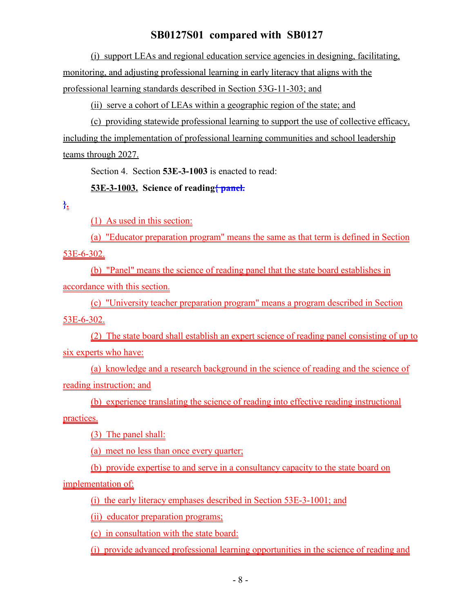(i) support LEAs and regional education service agencies in designing, facilitating, monitoring, and adjusting professional learning in early literacy that aligns with the professional learning standards described in Section 53G-11-303; and

(ii) serve a cohort of LEAs within a geographic region of the state; and

(c) providing statewide professional learning to support the use of collective efficacy, including the implementation of professional learning communities and school leadership teams through 2027.

Section 4. Section **53E-3-1003** is enacted to read:

#### **53E-3-1003. Science of reading{ panel.**

**}.**

(1) As used in this section:

(a) "Educator preparation program" means the same as that term is defined in Section

53E-6-302.

(b) "Panel" means the science of reading panel that the state board establishes in accordance with this section.

(c) "University teacher preparation program" means a program described in Section

53E-6-302.

(2) The state board shall establish an expert science of reading panel consisting of up to six experts who have:

(a) knowledge and a research background in the science of reading and the science of reading instruction; and

(b) experience translating the science of reading into effective reading instructional practices.

(3) The panel shall:

(a) meet no less than once every quarter;

(b) provide expertise to and serve in a consultancy capacity to the state board on

implementation of:

(i) the early literacy emphases described in Section 53E-3-1001; and

(ii) educator preparation programs;

(c) in consultation with the state board:

(i) provide advanced professional learning opportunities in the science of reading and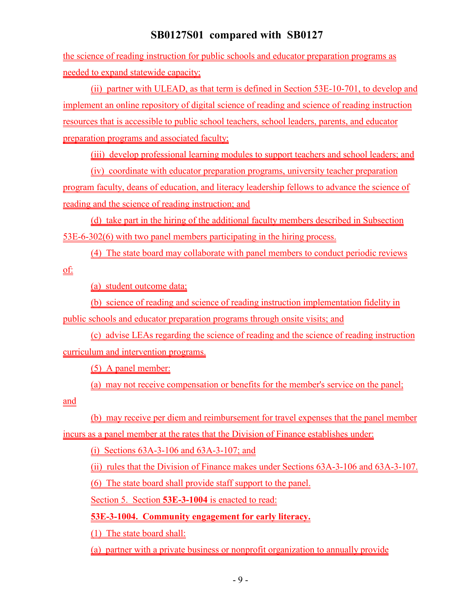the science of reading instruction for public schools and educator preparation programs as needed to expand statewide capacity;

(ii) partner with ULEAD, as that term is defined in Section 53E-10-701, to develop and implement an online repository of digital science of reading and science of reading instruction resources that is accessible to public school teachers, school leaders, parents, and educator preparation programs and associated faculty;

(iii) develop professional learning modules to support teachers and school leaders; and

(iv) coordinate with educator preparation programs, university teacher preparation program faculty, deans of education, and literacy leadership fellows to advance the science of reading and the science of reading instruction; and

(d) take part in the hiring of the additional faculty members described in Subsection 53E-6-302(6) with two panel members participating in the hiring process.

(4) The state board may collaborate with panel members to conduct periodic reviews

of:

(a) student outcome data;

(b) science of reading and science of reading instruction implementation fidelity in

public schools and educator preparation programs through onsite visits; and

(c) advise LEAs regarding the science of reading and the science of reading instruction curriculum and intervention programs.

(5) A panel member:

(a) may not receive compensation or benefits for the member's service on the panel;

and

(b) may receive per diem and reimbursement for travel expenses that the panel member incurs as a panel member at the rates that the Division of Finance establishes under:

(i) Sections 63A-3-106 and 63A-3-107; and

(ii) rules that the Division of Finance makes under Sections 63A-3-106 and 63A-3-107.

(6) The state board shall provide staff support to the panel.

Section 5. Section **53E-3-1004** is enacted to read:

**53E-3-1004. Community engagement for early literacy.**

(1) The state board shall:

(a) partner with a private business or nonprofit organization to annually provide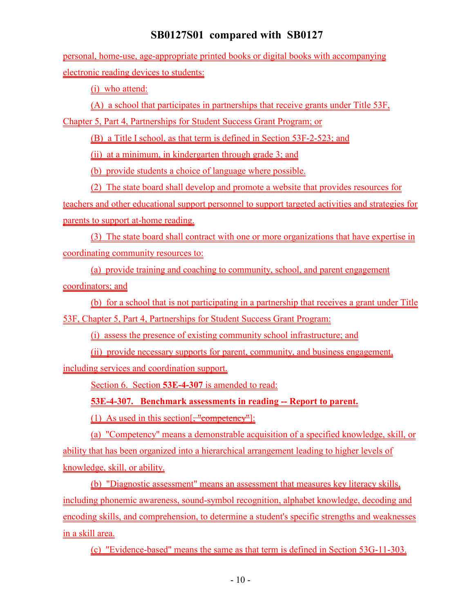personal, home-use, age-appropriate printed books or digital books with accompanying electronic reading devices to students:

(i) who attend:

(A) a school that participates in partnerships that receive grants under Title 53F,

Chapter 5, Part 4, Partnerships for Student Success Grant Program; or

(B) a Title I school, as that term is defined in Section 53F-2-523; and

(ii) at a minimum, in kindergarten through grade 3; and

(b) provide students a choice of language where possible.

(2) The state board shall develop and promote a website that provides resources for teachers and other educational support personnel to support targeted activities and strategies for parents to support at-home reading.

(3) The state board shall contract with one or more organizations that have expertise in coordinating community resources to:

(a) provide training and coaching to community, school, and parent engagement coordinators; and

(b) for a school that is not participating in a partnership that receives a grant under Title 53F, Chapter 5, Part 4, Partnerships for Student Success Grant Program:

(i) assess the presence of existing community school infrastructure; and

(ii) provide necessary supports for parent, community, and business engagement,

including services and coordination support.

Section 6. Section **53E-4-307** is amended to read:

**53E-4-307. Benchmark assessments in reading -- Report to parent.**

(1) As used in this section $[\frac{1}{2}, \frac{1}{2}, \frac{1}{2}]$ :

(a) "Competency" means a demonstrable acquisition of a specified knowledge, skill, or ability that has been organized into a hierarchical arrangement leading to higher levels of knowledge, skill, or ability.

(b) "Diagnostic assessment" means an assessment that measures key literacy skills, including phonemic awareness, sound-symbol recognition, alphabet knowledge, decoding and encoding skills, and comprehension, to determine a student's specific strengths and weaknesses in a skill area.

(c) "Evidence-based" means the same as that term is defined in Section 53G-11-303.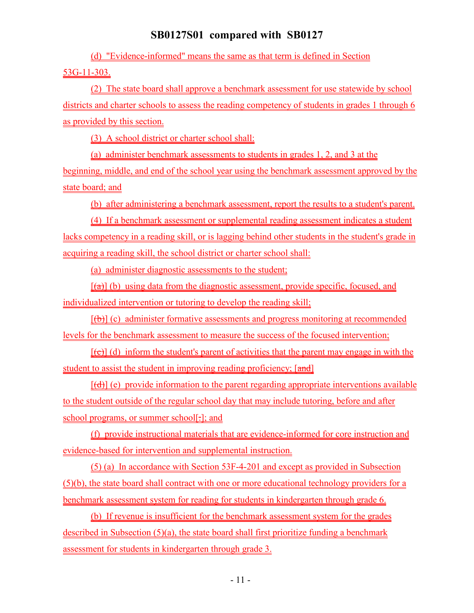(d) "Evidence-informed" means the same as that term is defined in Section 53G-11-303.

(2) The state board shall approve a benchmark assessment for use statewide by school districts and charter schools to assess the reading competency of students in grades 1 through 6 as provided by this section.

(3) A school district or charter school shall:

(a) administer benchmark assessments to students in grades 1, 2, and 3 at the beginning, middle, and end of the school year using the benchmark assessment approved by the state board; and

(b) after administering a benchmark assessment, report the results to a student's parent.

(4) If a benchmark assessment or supplemental reading assessment indicates a student lacks competency in a reading skill, or is lagging behind other students in the student's grade in acquiring a reading skill, the school district or charter school shall:

(a) administer diagnostic assessments to the student;

 $[\hat{\tau}(\hat{\tau})]$  (b) using data from the diagnostic assessment, provide specific, focused, and individualized intervention or tutoring to develop the reading skill;

 $[(\theta)]$  (c) administer formative assessments and progress monitoring at recommended levels for the benchmark assessment to measure the success of the focused intervention;

 $[\overline{(\epsilon)}]$  (d) inform the student's parent of activities that the parent may engage in with the student to assist the student in improving reading proficiency; [and]

 $[(d)]$  (e) provide information to the parent regarding appropriate interventions available to the student outside of the regular school day that may include tutoring, before and after school programs, or summer school[-]; and

(f) provide instructional materials that are evidence-informed for core instruction and evidence-based for intervention and supplemental instruction.

(5) (a) In accordance with Section 53F-4-201 and except as provided in Subsection (5)(b), the state board shall contract with one or more educational technology providers for a benchmark assessment system for reading for students in kindergarten through grade 6.

(b) If revenue is insufficient for the benchmark assessment system for the grades described in Subsection (5)(a), the state board shall first prioritize funding a benchmark assessment for students in kindergarten through grade 3.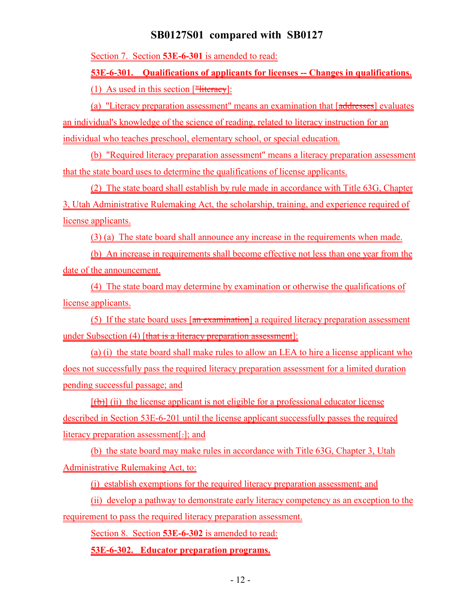Section 7. Section **53E-6-301** is amended to read:

**53E-6-301. Qualifications of applicants for licenses -- Changes in qualifications.**

(1) As used in this section  $[\frac{\text{m}}{\text{m}}]$ :

(a) "Literacy preparation assessment" means an examination that [addresses] evaluates an individual's knowledge of the science of reading, related to literacy instruction for an individual who teaches preschool, elementary school, or special education.

(b) "Required literacy preparation assessment" means a literacy preparation assessment that the state board uses to determine the qualifications of license applicants.

(2) The state board shall establish by rule made in accordance with Title 63G, Chapter 3, Utah Administrative Rulemaking Act, the scholarship, training, and experience required of license applicants.

(3) (a) The state board shall announce any increase in the requirements when made.

(b) An increase in requirements shall become effective not less than one year from the date of the announcement.

(4) The state board may determine by examination or otherwise the qualifications of license applicants.

(5) If the state board uses  $\left[\frac{a_n}{a_n}\right]$  a required literacy preparation assessment under Subsection (4) [that is a literacy preparation assessment]:

(a) (i) the state board shall make rules to allow an LEA to hire a license applicant who does not successfully pass the required literacy preparation assessment for a limited duration pending successful passage; and

 $[(\theta)]$  (ii) the license applicant is not eligible for a professional educator license described in Section 53E-6-201 until the license applicant successfully passes the required literacy preparation assessment[.]; and

(b) the state board may make rules in accordance with Title 63G, Chapter 3, Utah Administrative Rulemaking Act, to:

(i) establish exemptions for the required literacy preparation assessment; and

(ii) develop a pathway to demonstrate early literacy competency as an exception to the

requirement to pass the required literacy preparation assessment.

Section 8. Section **53E-6-302** is amended to read:

**53E-6-302. Educator preparation programs.**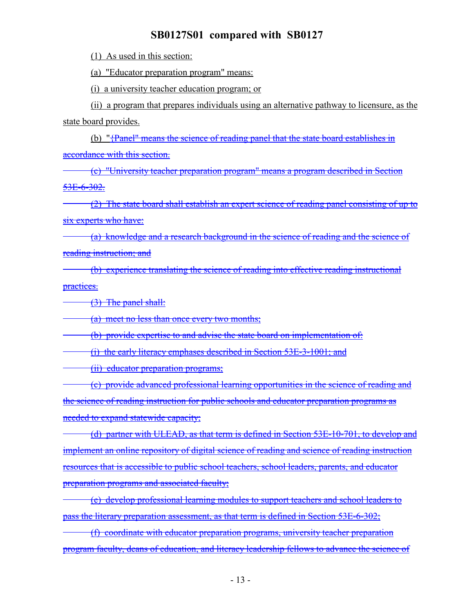(1) As used in this section:

(a) "Educator preparation program" means:

(i) a university teacher education program; or

(ii) a program that prepares individuals using an alternative pathway to licensure, as the state board provides.

(b) "{Panel" means the science of reading panel that the state board establishes in

accordance with this section.

(c) "University teacher preparation program" means a program described in Section 53E-6-302.

(2) The state board shall establish an expert science of reading panel consisting of up to six experts who have:

(a) knowledge and a research background in the science of reading and the science of reading instruction; and

(b) experience translating the science of reading into effective reading instructional practices.

(3) The panel shall:

(a) meet no less than once every two months;

(b) provide expertise to and advise the state board on implementation of:

(i) the early literacy emphases described in Section 53E-3-1001; and

(ii) educator preparation programs;

(c) provide advanced professional learning opportunities in the science of reading and the science of reading instruction for public schools and educator preparation programs as needed to expand statewide capacity;

(d) partner with ULEAD, as that term is defined in Section 53E-10-701, to develop and implement an online repository of digital science of reading and science of reading instruction resources that is accessible to public school teachers, school leaders, parents, and educator preparation programs and associated faculty;

(e) develop professional learning modules to support teachers and school leaders to pass the literary preparation assessment, as that term is defined in Section 53E-6-302;

(f) coordinate with educator preparation programs, university teacher preparation program faculty, deans of education, and literacy leadership fellows to advance the science of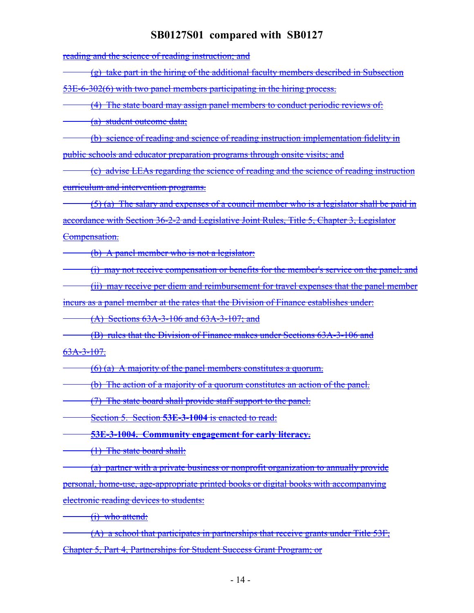reading and the science of reading instruction; and

(g) take part in the hiring of the additional faculty members described in Subsection

53E-6-302(6) with two panel members participating in the hiring process.

(4) The state board may assign panel members to conduct periodic reviews of:

(a) student outcome data;

(b) science of reading and science of reading instruction implementation fidelity in public schools and educator preparation programs through onsite visits; and

(c) advise LEAs regarding the science of reading and the science of reading instruction curriculum and intervention programs.

 $(5)$  (a) The salary and expenses of a council member who is a legislator shall be paid in accordance with Section 36-2-2 and Legislative Joint Rules, Title 5, Chapter 3, Legislator Compensation.

(b) A panel member who is not a legislator:

(i) may not receive compensation or benefits for the member's service on the panel; and

(ii) may receive per diem and reimbursement for travel expenses that the panel member

incurs as a panel member at the rates that the Division of Finance establishes under:

(A) Sections 63A-3-106 and 63A-3-107; and

(B) rules that the Division of Finance makes under Sections 63A-3-106 and

63A-3-107.

(6) (a) A majority of the panel members constitutes a quorum.

(b) The action of a majority of a quorum constitutes an action of the panel.

(7) The state board shall provide staff support to the panel.

Section 5. Section **53E-3-1004** is enacted to read:

**53E-3-1004. Community engagement for early literacy.**

(1) The state board shall:

(a) partner with a private business or nonprofit organization to annually provide personal, home-use, age-appropriate printed books or digital books with accompanying electronic reading devices to students:

(i) who attend:

 $(A)$  a school that participates in partnerships that receive grants under Title 53 $F_1$ Chapter 5, Part 4, Partnerships for Student Success Grant Program; or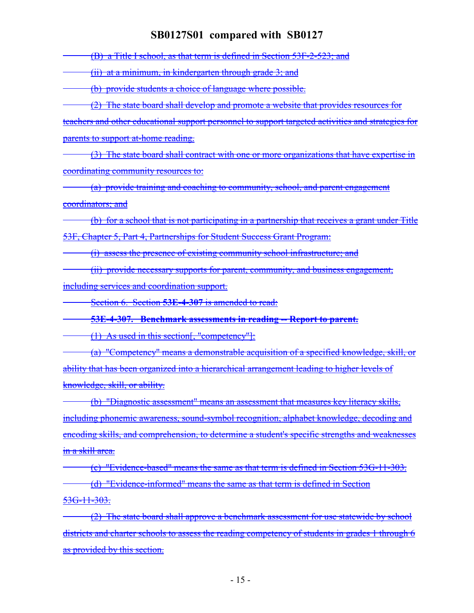(B) a Title I school, as that term is defined in Section 53F-2-523; and

(ii) at a minimum, in kindergarten through grade 3; and

(b) provide students a choice of language where possible.

(2) The state board shall develop and promote a website that provides resources for

teachers and other educational support personnel to support targeted activities and strategies for parents to support at-home reading.

(3) The state board shall contract with one or more organizations that have expertise in coordinating community resources to:

(a) provide training and coaching to community, school, and parent engagement coordinators; and

(b) for a school that is not participating in a partnership that receives a grant under Title 53F, Chapter 5, Part 4, Partnerships for Student Success Grant Program:

(i) assess the presence of existing community school infrastructure; and

(ii) provide necessary supports for parent, community, and business engagement,

including services and coordination support.

Section 6. Section **53E-4-307** is amended to read:

**53E-4-307. Benchmark assessments in reading -- Report to parent.**

(1) As used in this section[, "competency"]:

(a) "Competency" means a demonstrable acquisition of a specified knowledge, skill, or ability that has been organized into a hierarchical arrangement leading to higher levels of knowledge, skill, or ability.

(b) "Diagnostic assessment" means an assessment that measures key literacy skills, including phonemic awareness, sound-symbol recognition, alphabet knowledge, decoding and encoding skills, and comprehension, to determine a student's specific strengths and weaknesses in a skill area.

(c) "Evidence-based" means the same as that term is defined in Section 53G-11-303. (d) "Evidence-informed" means the same as that term is defined in Section 53G-11-303.

(2) The state board shall approve a benchmark assessment for use statewide by school districts and charter schools to assess the reading competency of students in grades 1 through 6 as provided by this section.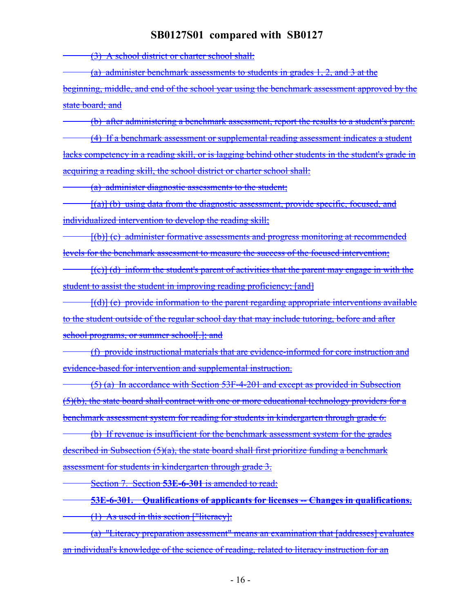(3) A school district or charter school shall:

(a) administer benchmark assessments to students in grades 1, 2, and 3 at the

beginning, middle, and end of the school year using the benchmark assessment approved by the state board; and

(b) after administering a benchmark assessment, report the results to a student's parent. (4) If a benchmark assessment or supplemental reading assessment indicates a student lacks competency in a reading skill, or is lagging behind other students in the student's grade in acquiring a reading skill, the school district or charter school shall:

(a) administer diagnostic assessments to the student;

 $[(a)]$  (b) using data from the diagnostic assessment, provide specific, focused, and individualized intervention to develop the reading skill;

[(b)] (c) administer formative assessments and progress monitoring at recommended levels for the benchmark assessment to measure the success of the focused intervention;

 $[(c)]$  (d) inform the student's parent of activities that the parent may engage in with the student to assist the student in improving reading proficiency; [and]

[(d)] (e) provide information to the parent regarding appropriate interventions available to the student outside of the regular school day that may include tutoring, before and after school programs, or summer school[.]; and

(f) provide instructional materials that are evidence-informed for core instruction and evidence-based for intervention and supplemental instruction.

(5) (a) In accordance with Section 53F-4-201 and except as provided in Subsection (5)(b), the state board shall contract with one or more educational technology providers for a benchmark assessment system for reading for students in kindergarten through grade 6.

(b) If revenue is insufficient for the benchmark assessment system for the grades described in Subsection  $(5)(a)$ , the state board shall first prioritize funding a benchmark assessment for students in kindergarten through grade 3.

Section 7. Section **53E-6-301** is amended to read:

**53E-6-301. Qualifications of applicants for licenses -- Changes in qualifications.** (1) As used in this section ["literacy]:

(a) "Literacy preparation assessment" means an examination that [addresses] evaluates an individual's knowledge of the science of reading, related to literacy instruction for an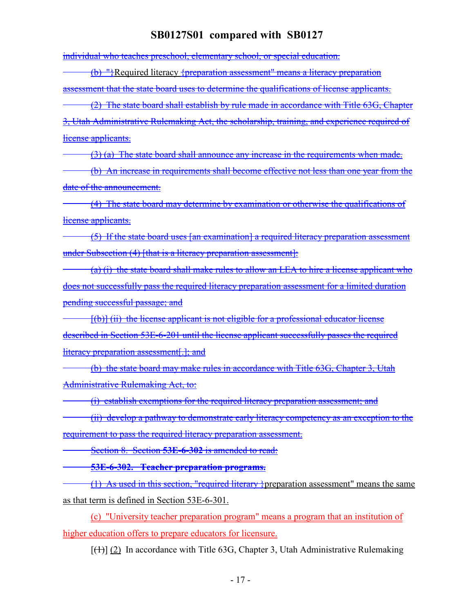individual who teaches preschool, elementary school, or special education.

(b) "}Required literacy {preparation assessment" means a literacy preparation assessment that the state board uses to determine the qualifications of license applicants.

(2) The state board shall establish by rule made in accordance with Title 63G, Chapter 3, Utah Administrative Rulemaking Act, the scholarship, training, and experience required of license applicants.

(3) (a) The state board shall announce any increase in the requirements when made.

(b) An increase in requirements shall become effective not less than one year from the date of the announcement.

(4) The state board may determine by examination or otherwise the qualifications of license applicants.

(5) If the state board uses [an examination] a required literacy preparation assessment under Subsection (4) [that is a literacy preparation assessment]:

(a) (i) the state board shall make rules to allow an LEA to hire a license applicant who does not successfully pass the required literacy preparation assessment for a limited duration pending successful passage; and

 $[(b)]$  (ii) the license applicant is not eligible for a professional educator license described in Section 53E-6-201 until the license applicant successfully passes the required literacy preparation assessment[.]; and

(b) the state board may make rules in accordance with Title 63G, Chapter 3, Utah Administrative Rulemaking Act, to:

(i) establish exemptions for the required literacy preparation assessment; and

(ii) develop a pathway to demonstrate early literacy competency as an exception to the

requirement to pass the required literacy preparation assessment.

Section 8. Section **53E-6-302** is amended to read:

**53E-6-302. Teacher preparation programs.**

(1) As used in this section, "required literary }preparation assessment" means the same as that term is defined in Section 53E-6-301.

(c) "University teacher preparation program" means a program that an institution of higher education offers to prepare educators for licensure.

 $[\frac{(1)}{(2)}]$  In accordance with Title 63G, Chapter 3, Utah Administrative Rulemaking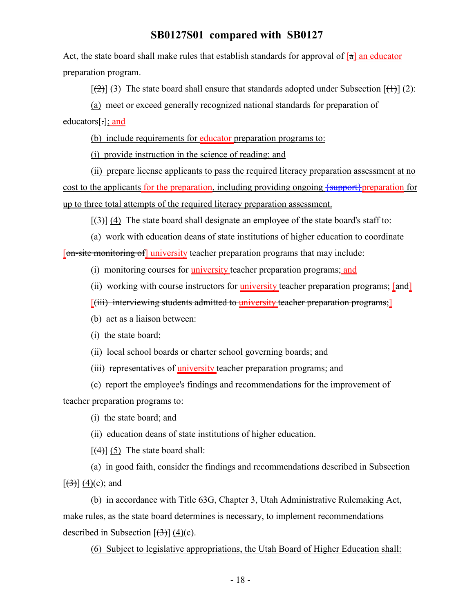Act, the state board shall make rules that establish standards for approval of  $\lceil a \rceil$  an educator preparation program.

 $[\frac{1}{2}]$  (3) The state board shall ensure that standards adopted under Subsection  $[\frac{1}{2}]$  (2):

(a) meet or exceed generally recognized national standards for preparation of

educators[.]; and

(b) include requirements for educator preparation programs to:

(i) provide instruction in the science of reading; and

(ii) prepare license applicants to pass the required literacy preparation assessment at no cost to the applicants for the preparation, including providing ongoing  $\frac{1}{2}$  support preparation for up to three total attempts of the required literacy preparation assessment.

 $[\frac{1}{3}]$  (4) The state board shall designate an employee of the state board's staff to:

(a) work with education deans of state institutions of higher education to coordinate [on-site monitoring of] university teacher preparation programs that may include:

(i) monitoring courses for university teacher preparation programs; and

(ii) working with course instructors for university teacher preparation programs;  $[\text{and}]$ 

[(iii) interviewing students admitted to university teacher preparation programs;]

(b) act as a liaison between:

(i) the state board;

(ii) local school boards or charter school governing boards; and

(iii) representatives of university teacher preparation programs; and

(c) report the employee's findings and recommendations for the improvement of teacher preparation programs to:

(i) the state board; and

(ii) education deans of state institutions of higher education.

 $[\frac{4}{3}]$  (5) The state board shall:

(a) in good faith, consider the findings and recommendations described in Subsection  $[\frac{(3)}{(4)}]$  (4)(c); and

(b) in accordance with Title 63G, Chapter 3, Utah Administrative Rulemaking Act, make rules, as the state board determines is necessary, to implement recommendations described in Subsection  $[\frac{(3)}{(4)}]$  (4)(c).

(6) Subject to legislative appropriations, the Utah Board of Higher Education shall: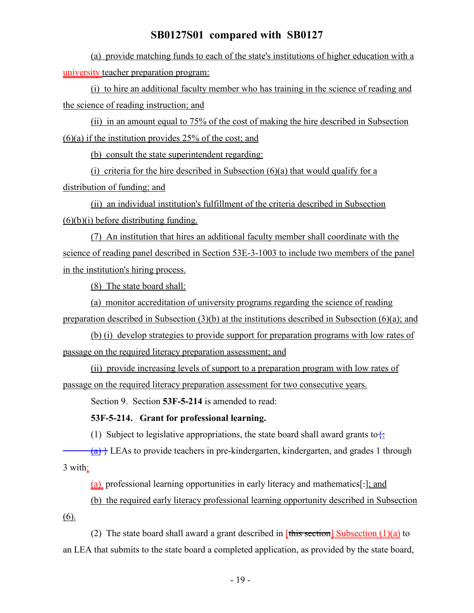(a) provide matching funds to each of the state's institutions of higher education with a university teacher preparation program:

(i) to hire an additional faculty member who has training in the science of reading and the science of reading instruction; and

(ii) in an amount equal to 75% of the cost of making the hire described in Subsection  $(6)(a)$  if the institution provides 25% of the cost; and

(b) consult the state superintendent regarding:

(i) criteria for the hire described in Subsection  $(6)(a)$  that would qualify for a distribution of funding; and

(ii) an individual institution's fulfillment of the criteria described in Subsection  $(6)(b)(i)$  before distributing funding.

(7) An institution that hires an additional faculty member shall coordinate with the science of reading panel described in Section 53E-3-1003 to include two members of the panel in the institution's hiring process.

(8) The state board shall:

(a) monitor accreditation of university programs regarding the science of reading preparation described in Subsection (3)(b) at the institutions described in Subsection (6)(a); and

(b) (i) develop strategies to provide support for preparation programs with low rates of passage on the required literacy preparation assessment; and

(ii) provide increasing levels of support to a preparation program with low rates of passage on the required literacy preparation assessment for two consecutive years.

Section 9. Section **53F-5-214** is amended to read:

#### **53F-5-214. Grant for professional learning.**

(1) Subject to legislative appropriations, the state board shall award grants to:

 $(a)$  [A) LEAs to provide teachers in pre-kindergarten, kindergarten, and grades 1 through 3 with:

(a) professional learning opportunities in early literacy and mathematics[.]; and

(b) the required early literacy professional learning opportunity described in Subsection (6).

(2) The state board shall award a grant described in  $[\theta]$  fithis section  $\theta$  Subsection (1)(a) to an LEA that submits to the state board a completed application, as provided by the state board,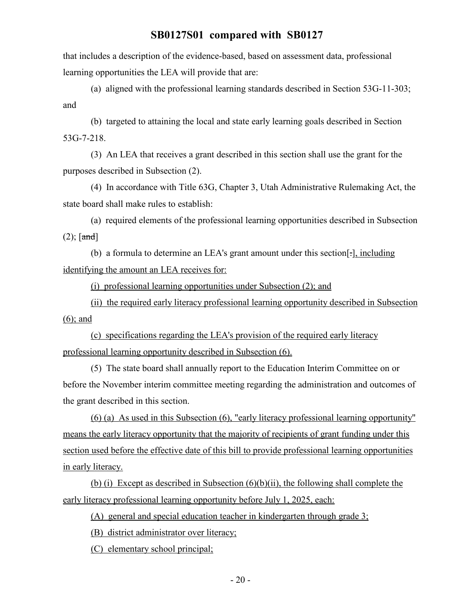that includes a description of the evidence-based, based on assessment data, professional learning opportunities the LEA will provide that are:

(a) aligned with the professional learning standards described in Section 53G-11-303; and

(b) targeted to attaining the local and state early learning goals described in Section 53G-7-218.

(3) An LEA that receives a grant described in this section shall use the grant for the purposes described in Subsection (2).

(4) In accordance with Title 63G, Chapter 3, Utah Administrative Rulemaking Act, the state board shall make rules to establish:

(a) required elements of the professional learning opportunities described in Subsection  $(2)$ ; [and]

(b) a formula to determine an LEA's grant amount under this section[.], including identifying the amount an LEA receives for:

(i) professional learning opportunities under Subsection (2); and

(ii) the required early literacy professional learning opportunity described in Subsection (6); and

(c) specifications regarding the LEA's provision of the required early literacy professional learning opportunity described in Subsection (6).

(5) The state board shall annually report to the Education Interim Committee on or before the November interim committee meeting regarding the administration and outcomes of the grant described in this section.

(6) (a) As used in this Subsection (6), "early literacy professional learning opportunity" means the early literacy opportunity that the majority of recipients of grant funding under this section used before the effective date of this bill to provide professional learning opportunities in early literacy.

(b) (i) Except as described in Subsection  $(6)(b)(ii)$ , the following shall complete the early literacy professional learning opportunity before July 1, 2025, each:

(A) general and special education teacher in kindergarten through grade 3;

(B) district administrator over literacy;

(C) elementary school principal;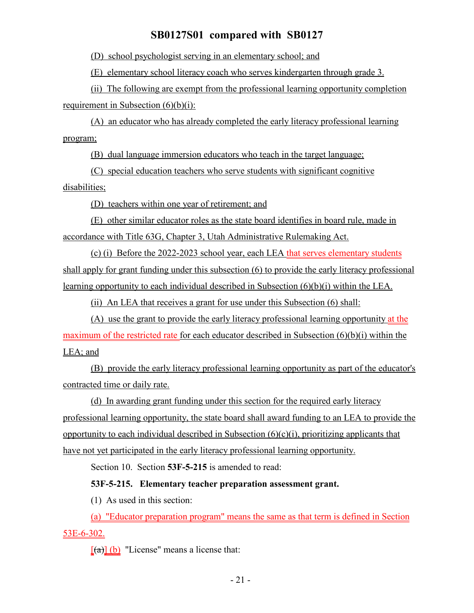(D) school psychologist serving in an elementary school; and

(E) elementary school literacy coach who serves kindergarten through grade 3.

(ii) The following are exempt from the professional learning opportunity completion requirement in Subsection  $(6)(b)(i)$ :

(A) an educator who has already completed the early literacy professional learning program;

(B) dual language immersion educators who teach in the target language;

(C) special education teachers who serve students with significant cognitive disabilities;

(D) teachers within one year of retirement; and

(E) other similar educator roles as the state board identifies in board rule, made in accordance with Title 63G, Chapter 3, Utah Administrative Rulemaking Act.

(c) (i) Before the 2022-2023 school year, each LEA that serves elementary students shall apply for grant funding under this subsection (6) to provide the early literacy professional learning opportunity to each individual described in Subsection (6)(b)(i) within the LEA.

(ii) An LEA that receives a grant for use under this Subsection (6) shall:

(A) use the grant to provide the early literacy professional learning opportunity at the maximum of the restricted rate for each educator described in Subsection (6)(b)(i) within the LEA; and

(B) provide the early literacy professional learning opportunity as part of the educator's contracted time or daily rate.

(d) In awarding grant funding under this section for the required early literacy professional learning opportunity, the state board shall award funding to an LEA to provide the opportunity to each individual described in Subsection  $(6)(c)(i)$ , prioritizing applicants that have not yet participated in the early literacy professional learning opportunity.

Section 10. Section **53F-5-215** is amended to read:

### **53F-5-215. Elementary teacher preparation assessment grant.**

(1) As used in this section:

(a) "Educator preparation program" means the same as that term is defined in Section 53E-6-302.

 $\left[\frac{a}{b}\right]$  (b) "License" means a license that: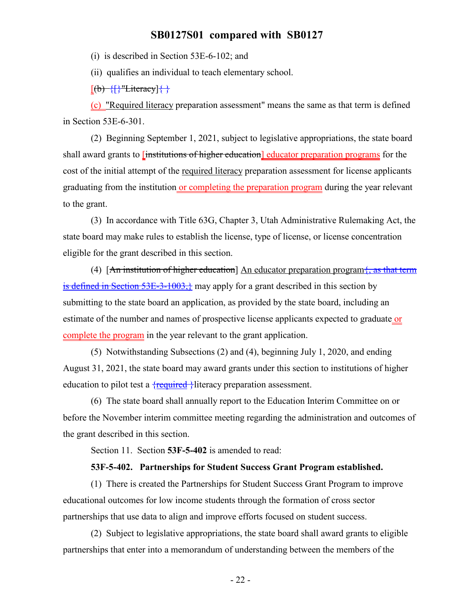(i) is described in Section 53E-6-102; and

(ii) qualifies an individual to teach elementary school.

 $[(b)$   $\{$   $\}$  "Literacy] $\{\}$ 

(c) "Required literacy preparation assessment" means the same as that term is defined in Section 53E-6-301.

(2) Beginning September 1, 2021, subject to legislative appropriations, the state board shall award grants to <del>linstitutions of higher education</del> educator preparation programs for the cost of the initial attempt of the required literacy preparation assessment for license applicants graduating from the institution or completing the preparation program during the year relevant to the grant.

(3) In accordance with Title 63G, Chapter 3, Utah Administrative Rulemaking Act, the state board may make rules to establish the license, type of license, or license concentration eligible for the grant described in this section.

(4)  $[An$  institution of higher education] An educator preparation program $\frac{1}{2}$ , as that term is defined in Section 53E-3-1003, may apply for a grant described in this section by submitting to the state board an application, as provided by the state board, including an estimate of the number and names of prospective license applicants expected to graduate or complete the program in the year relevant to the grant application.

(5) Notwithstanding Subsections (2) and (4), beginning July 1, 2020, and ending August 31, 2021, the state board may award grants under this section to institutions of higher education to pilot test a  $\{$ required  $\}$ literacy preparation assessment.

(6) The state board shall annually report to the Education Interim Committee on or before the November interim committee meeting regarding the administration and outcomes of the grant described in this section.

Section 11. Section **53F-5-402** is amended to read:

#### **53F-5-402. Partnerships for Student Success Grant Program established.**

(1) There is created the Partnerships for Student Success Grant Program to improve educational outcomes for low income students through the formation of cross sector partnerships that use data to align and improve efforts focused on student success.

(2) Subject to legislative appropriations, the state board shall award grants to eligible partnerships that enter into a memorandum of understanding between the members of the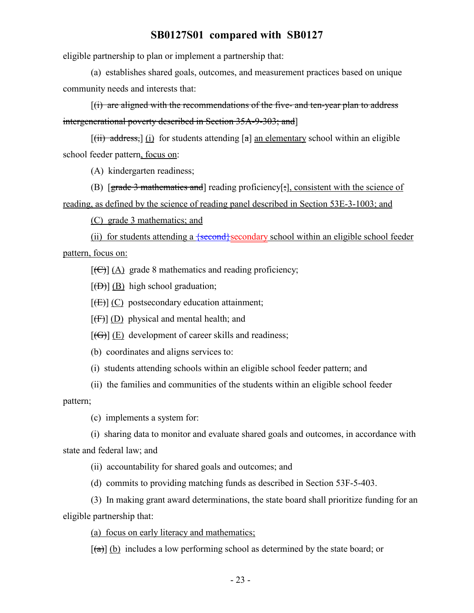eligible partnership to plan or implement a partnership that:

(a) establishes shared goals, outcomes, and measurement practices based on unique community needs and interests that:

 $(i)$  are aligned with the recommendations of the five- and ten-year plan to address intergenerational poverty described in Section 35A-9-303; and]

 $[(iii)$  address,  $](i)$  for students attending  $[a]$  an elementary school within an eligible school feeder pattern, focus on:

(A) kindergarten readiness;

(B) [grade 3 mathematics and] reading proficiency[;], consistent with the science of reading, as defined by the science of reading panel described in Section 53E-3-1003; and

(C) grade 3 mathematics; and

(ii) for students attending a  $\{\text{second}\}$  secondary school within an eligible school feeder pattern, focus on:

 $[\text{(\textcircled{H})}]$  (A) grade 8 mathematics and reading proficiency;

 $[\overline{(B)}]$  (B) high school graduation;

 $[\overline{(E)}]$  (C) postsecondary education attainment;

 $[\overline{(F)}]$  (D) physical and mental health; and

 $[(G)] (E)$  development of career skills and readiness;

(b) coordinates and aligns services to:

(i) students attending schools within an eligible school feeder pattern; and

(ii) the families and communities of the students within an eligible school feeder

pattern;

(c) implements a system for:

(i) sharing data to monitor and evaluate shared goals and outcomes, in accordance with state and federal law; and

(ii) accountability for shared goals and outcomes; and

(d) commits to providing matching funds as described in Section 53F-5-403.

(3) In making grant award determinations, the state board shall prioritize funding for an eligible partnership that:

(a) focus on early literacy and mathematics;

 $[(a)] (b)$  includes a low performing school as determined by the state board; or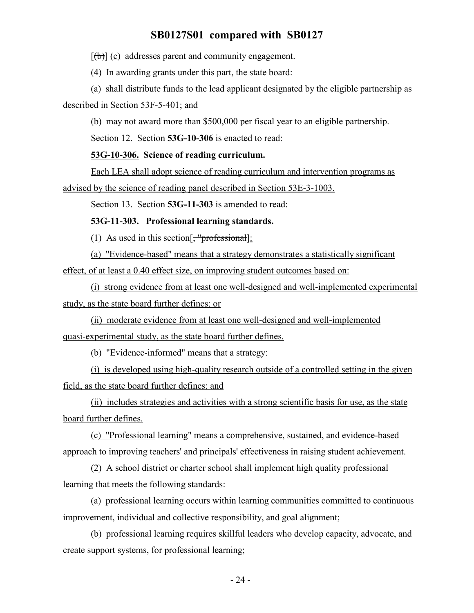$[\theta]$  (c) addresses parent and community engagement.

(4) In awarding grants under this part, the state board:

(a) shall distribute funds to the lead applicant designated by the eligible partnership as described in Section 53F-5-401; and

(b) may not award more than \$500,000 per fiscal year to an eligible partnership.

Section 12. Section **53G-10-306** is enacted to read:

### **53G-10-306. Science of reading curriculum.**

Each LEA shall adopt science of reading curriculum and intervention programs as advised by the science of reading panel described in Section 53E-3-1003.

Section 13. Section **53G-11-303** is amended to read:

#### **53G-11-303. Professional learning standards.**

(1) As used in this section  $\left[\frac{1}{2} \text{arccos} + \frac{1}{2} \text{arccos} + \frac{1}{2} \text{arccos} + \frac{1}{2} \text{arccos} + \frac{1}{2} \text{arccos} + \frac{1}{2} \text{arccos} + \frac{1}{2} \text{arccos} + \frac{1}{2} \text{arccos} + \frac{1}{2} \text{arccos} + \frac{1}{2} \text{arccos} + \frac{1}{2} \text{arccos} + \frac{1}{2} \text{arccos} + \frac{1}{2} \text{$ 

(a) "Evidence-based" means that a strategy demonstrates a statistically significant effect, of at least a 0.40 effect size, on improving student outcomes based on:

(i) strong evidence from at least one well-designed and well-implemented experimental study, as the state board further defines; or

(ii) moderate evidence from at least one well-designed and well-implemented quasi-experimental study, as the state board further defines.

(b) "Evidence-informed" means that a strategy:

(i) is developed using high-quality research outside of a controlled setting in the given field, as the state board further defines; and

(ii) includes strategies and activities with a strong scientific basis for use, as the state board further defines.

(c) "Professional learning" means a comprehensive, sustained, and evidence-based approach to improving teachers' and principals' effectiveness in raising student achievement.

(2) A school district or charter school shall implement high quality professional learning that meets the following standards:

(a) professional learning occurs within learning communities committed to continuous improvement, individual and collective responsibility, and goal alignment;

(b) professional learning requires skillful leaders who develop capacity, advocate, and create support systems, for professional learning;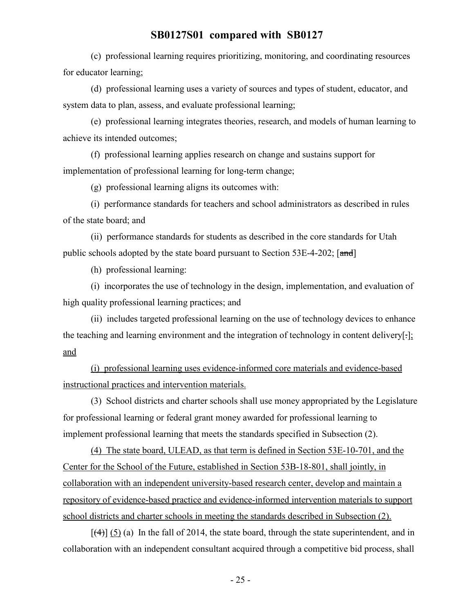(c) professional learning requires prioritizing, monitoring, and coordinating resources for educator learning;

(d) professional learning uses a variety of sources and types of student, educator, and system data to plan, assess, and evaluate professional learning;

(e) professional learning integrates theories, research, and models of human learning to achieve its intended outcomes;

(f) professional learning applies research on change and sustains support for implementation of professional learning for long-term change;

(g) professional learning aligns its outcomes with:

(i) performance standards for teachers and school administrators as described in rules of the state board; and

(ii) performance standards for students as described in the core standards for Utah public schools adopted by the state board pursuant to Section  $53E-4-202$ ; [and]

(h) professional learning:

(i) incorporates the use of technology in the design, implementation, and evaluation of high quality professional learning practices; and

(ii) includes targeted professional learning on the use of technology devices to enhance the teaching and learning environment and the integration of technology in content delivery[.]; and

(i) professional learning uses evidence-informed core materials and evidence-based instructional practices and intervention materials.

(3) School districts and charter schools shall use money appropriated by the Legislature for professional learning or federal grant money awarded for professional learning to implement professional learning that meets the standards specified in Subsection (2).

(4) The state board, ULEAD, as that term is defined in Section 53E-10-701, and the Center for the School of the Future, established in Section 53B-18-801, shall jointly, in collaboration with an independent university-based research center, develop and maintain a repository of evidence-based practice and evidence-informed intervention materials to support school districts and charter schools in meeting the standards described in Subsection (2).

 $[$ (4)] (5) (a) In the fall of 2014, the state board, through the state superintendent, and in collaboration with an independent consultant acquired through a competitive bid process, shall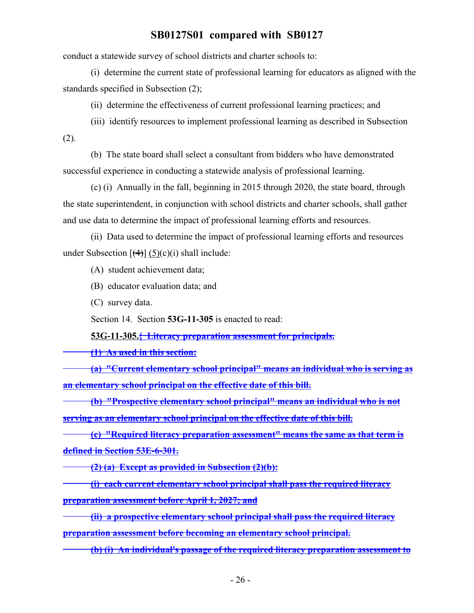conduct a statewide survey of school districts and charter schools to:

(i) determine the current state of professional learning for educators as aligned with the standards specified in Subsection (2);

(ii) determine the effectiveness of current professional learning practices; and

(iii) identify resources to implement professional learning as described in Subsection (2).

(b) The state board shall select a consultant from bidders who have demonstrated successful experience in conducting a statewide analysis of professional learning.

(c) (i) Annually in the fall, beginning in 2015 through 2020, the state board, through the state superintendent, in conjunction with school districts and charter schools, shall gather and use data to determine the impact of professional learning efforts and resources.

(ii) Data used to determine the impact of professional learning efforts and resources under Subsection  $[(4)] (5)(c)(i)$  shall include:

(A) student achievement data;

(B) educator evaluation data; and

(C) survey data.

Section 14. Section **53G-11-305** is enacted to read:

**53G-11-305.{ Literacy preparation assessment for principals.**

**(1) As used in this section:**

**(a) "Current elementary school principal" means an individual who is serving as an elementary school principal on the effective date of this bill.**

**(b) "Prospective elementary school principal" means an individual who is not serving as an elementary school principal on the effective date of this bill.**

**(c) "Required literacy preparation assessment" means the same as that term is defined in Section 53E-6-301.**

**(2) (a) Except as provided in Subsection (2)(b):**

**(i) each current elementary school principal shall pass the required literacy preparation assessment before April 1, 2027; and**

**(ii) a prospective elementary school principal shall pass the required literacy preparation assessment before becoming an elementary school principal.**

**(b) (i) An individual's passage of the required literacy preparation assessment to**